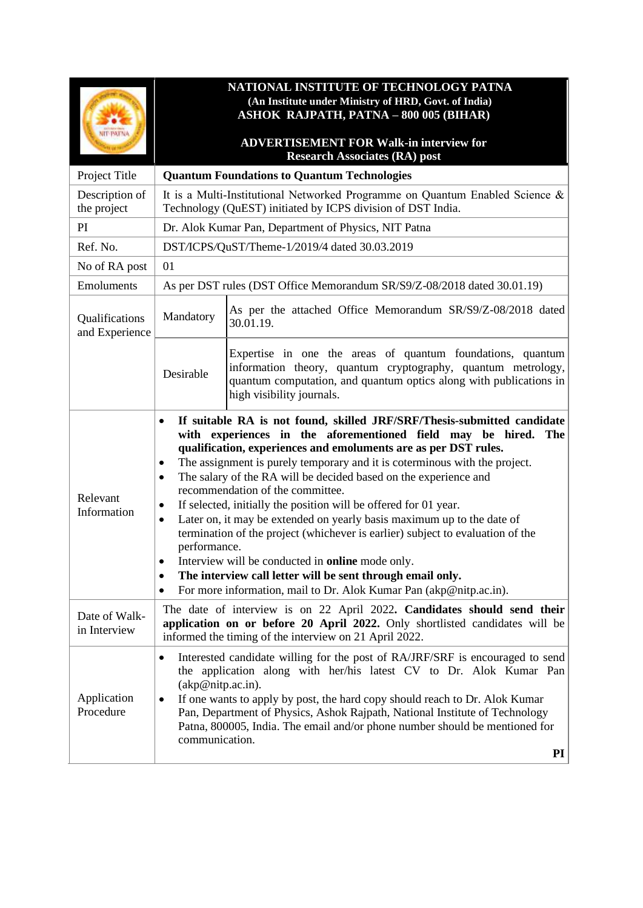| <b>NIT-PALMA</b>                 | NATIONAL INSTITUTE OF TECHNOLOGY PATNA<br>(An Institute under Ministry of HRD, Govt. of India)<br><b>ASHOK RAJPATH, PATNA - 800 005 (BIHAR)</b><br><b>ADVERTISEMENT FOR Walk-in interview for</b><br><b>Research Associates (RA) post</b>                                                                                                                                                                                                                                                                                                                                                                                                                                                                                                                                                                                                                                                                          |                                                                                                                                                                                                                               |  |
|----------------------------------|--------------------------------------------------------------------------------------------------------------------------------------------------------------------------------------------------------------------------------------------------------------------------------------------------------------------------------------------------------------------------------------------------------------------------------------------------------------------------------------------------------------------------------------------------------------------------------------------------------------------------------------------------------------------------------------------------------------------------------------------------------------------------------------------------------------------------------------------------------------------------------------------------------------------|-------------------------------------------------------------------------------------------------------------------------------------------------------------------------------------------------------------------------------|--|
| Project Title                    | <b>Quantum Foundations to Quantum Technologies</b>                                                                                                                                                                                                                                                                                                                                                                                                                                                                                                                                                                                                                                                                                                                                                                                                                                                                 |                                                                                                                                                                                                                               |  |
| Description of<br>the project    | It is a Multi-Institutional Networked Programme on Quantum Enabled Science &<br>Technology (QuEST) initiated by ICPS division of DST India.                                                                                                                                                                                                                                                                                                                                                                                                                                                                                                                                                                                                                                                                                                                                                                        |                                                                                                                                                                                                                               |  |
| PI                               | Dr. Alok Kumar Pan, Department of Physics, NIT Patna                                                                                                                                                                                                                                                                                                                                                                                                                                                                                                                                                                                                                                                                                                                                                                                                                                                               |                                                                                                                                                                                                                               |  |
| Ref. No.                         | DST/ICPS/QuST/Theme-1/2019/4 dated 30.03.2019                                                                                                                                                                                                                                                                                                                                                                                                                                                                                                                                                                                                                                                                                                                                                                                                                                                                      |                                                                                                                                                                                                                               |  |
| No of RA post                    | 01                                                                                                                                                                                                                                                                                                                                                                                                                                                                                                                                                                                                                                                                                                                                                                                                                                                                                                                 |                                                                                                                                                                                                                               |  |
| Emoluments                       | As per DST rules (DST Office Memorandum SR/S9/Z-08/2018 dated 30.01.19)                                                                                                                                                                                                                                                                                                                                                                                                                                                                                                                                                                                                                                                                                                                                                                                                                                            |                                                                                                                                                                                                                               |  |
| Qualifications<br>and Experience | Mandatory                                                                                                                                                                                                                                                                                                                                                                                                                                                                                                                                                                                                                                                                                                                                                                                                                                                                                                          | As per the attached Office Memorandum SR/S9/Z-08/2018 dated<br>30.01.19.                                                                                                                                                      |  |
|                                  | Desirable                                                                                                                                                                                                                                                                                                                                                                                                                                                                                                                                                                                                                                                                                                                                                                                                                                                                                                          | Expertise in one the areas of quantum foundations, quantum<br>information theory, quantum cryptography, quantum metrology,<br>quantum computation, and quantum optics along with publications in<br>high visibility journals. |  |
| Relevant<br>Information          | If suitable RA is not found, skilled JRF/SRF/Thesis-submitted candidate<br>$\bullet$<br>with experiences in the aforementioned field may be hired.<br>The<br>qualification, experiences and emoluments are as per DST rules.<br>The assignment is purely temporary and it is coterminous with the project.<br>$\bullet$<br>The salary of the RA will be decided based on the experience and<br>$\bullet$<br>recommendation of the committee.<br>If selected, initially the position will be offered for 01 year.<br>٠<br>Later on, it may be extended on yearly basis maximum up to the date of<br>٠<br>termination of the project (whichever is earlier) subject to evaluation of the<br>performance.<br>Interview will be conducted in <b>online</b> mode only.<br>The interview call letter will be sent through email only.<br>$\bullet$<br>For more information, mail to Dr. Alok Kumar Pan (akp@nitp.ac.in). |                                                                                                                                                                                                                               |  |
| Date of Walk-<br>in Interview    | The date of interview is on 22 April 2022. Candidates should send their<br>application on or before 20 April 2022. Only shortlisted candidates will be<br>informed the timing of the interview on 21 April 2022.                                                                                                                                                                                                                                                                                                                                                                                                                                                                                                                                                                                                                                                                                                   |                                                                                                                                                                                                                               |  |
| Application<br>Procedure         | Interested candidate willing for the post of RA/JRF/SRF is encouraged to send<br>$\bullet$<br>the application along with her/his latest CV to Dr. Alok Kumar Pan<br>(akp@nity.ac.in).<br>If one wants to apply by post, the hard copy should reach to Dr. Alok Kumar<br>٠<br>Pan, Department of Physics, Ashok Rajpath, National Institute of Technology<br>Patna, 800005, India. The email and/or phone number should be mentioned for<br>communication.<br>PI                                                                                                                                                                                                                                                                                                                                                                                                                                                    |                                                                                                                                                                                                                               |  |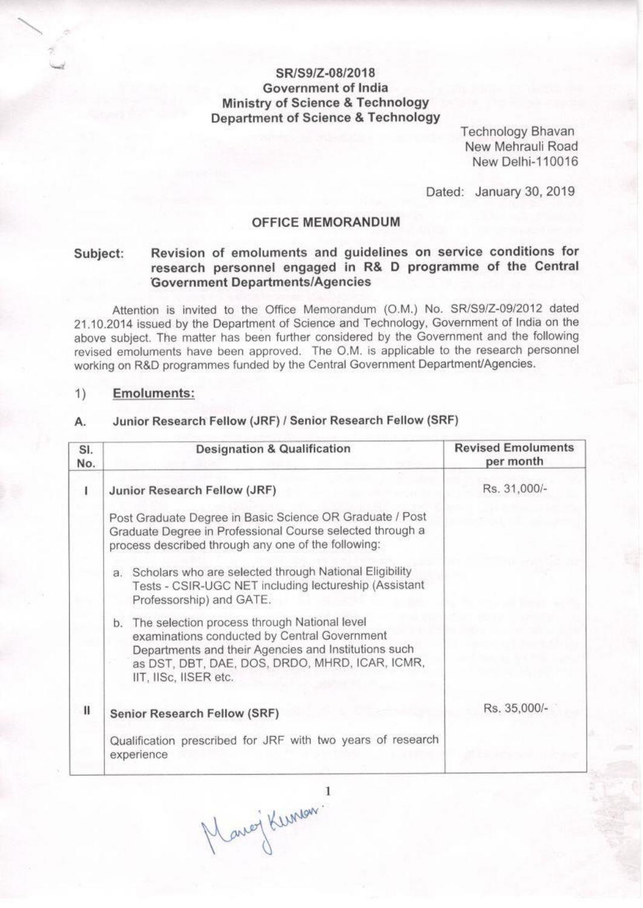## SR/S9/Z-08/2018 Government of India **Ministry of Science & Technology Department of Science & Technology**

**Technology Bhavan** New Mehrauli Road New Delhi-110016

Dated: January 30, 2019

### **OFFICE MEMORANDUM**

### Revision of emoluments and guidelines on service conditions for Subject: research personnel engaged in R& D programme of the Central **Government Departments/Agencies**

Attention is invited to the Office Memorandum (O.M.) No. SR/S9/Z-09/2012 dated 21.10.2014 issued by the Department of Science and Technology, Government of India on the above subject. The matter has been further considered by the Government and the following revised emoluments have been approved. The O.M. is applicable to the research personnel working on R&D programmes funded by the Central Government Department/Agencies.

#### $1)$ **Emoluments:**

#### Junior Research Fellow (JRF) / Senior Research Fellow (SRF) А.

| SI.<br>No.   | <b>Designation &amp; Qualification</b>                                                                                                                                                                                             | <b>Revised Emoluments</b><br>per month |
|--------------|------------------------------------------------------------------------------------------------------------------------------------------------------------------------------------------------------------------------------------|----------------------------------------|
| ı            | Junior Research Fellow (JRF)                                                                                                                                                                                                       | Rs. 31,000/-                           |
|              | Post Graduate Degree in Basic Science OR Graduate / Post<br>Graduate Degree in Professional Course selected through a<br>process described through any one of the following:                                                       |                                        |
|              | a. Scholars who are selected through National Eligibility<br>Tests - CSIR-UGC NET including lectureship (Assistant<br>Professorship) and GATE.                                                                                     |                                        |
|              | b. The selection process through National level<br>examinations conducted by Central Government<br>Departments and their Agencies and Institutions such<br>as DST, DBT, DAE, DOS, DRDO, MHRD, ICAR, ICMR,<br>IIT, IISc, IISER etc. |                                        |
| $\mathbf{H}$ | <b>Senior Research Fellow (SRF)</b>                                                                                                                                                                                                | Rs. 35,000/-                           |
|              | Qualification prescribed for JRF with two years of research<br>experience                                                                                                                                                          |                                        |

Marci Kunson!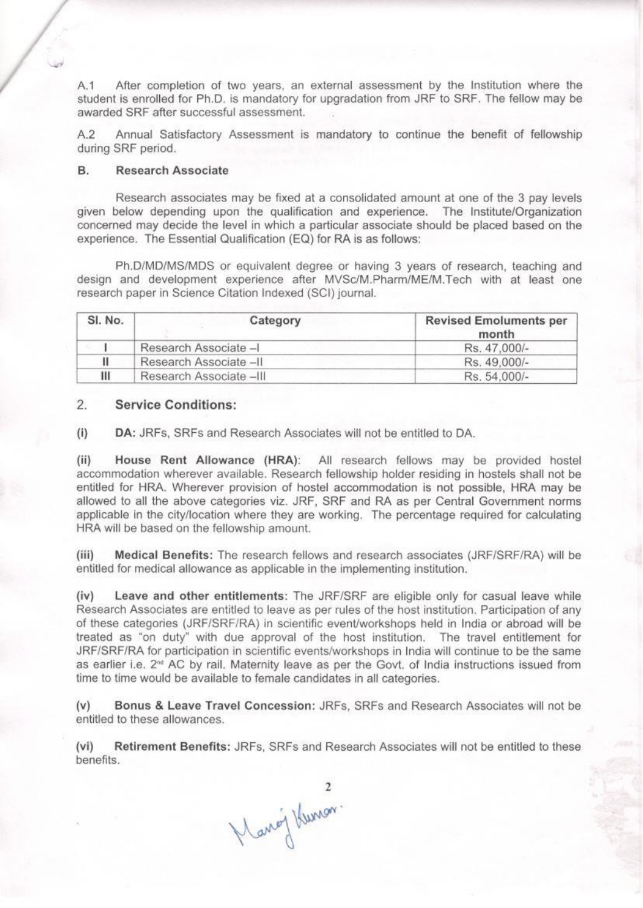A.1 After completion of two years, an external assessment by the Institution where the student is enrolled for Ph.D. is mandatory for upgradation from JRF to SRF. The fellow may be awarded SRF after successful assessment.

Annual Satisfactory Assessment is mandatory to continue the benefit of fellowship  $A.2$ during SRF period.

#### **B. Research Associate**

Research associates may be fixed at a consolidated amount at one of the 3 pay levels given below depending upon the qualification and experience. The Institute/Organization concerned may decide the level in which a particular associate should be placed based on the experience. The Essential Qualification (EQ) for RA is as follows:

Ph.D/MD/MS/MDS or equivalent degree or having 3 years of research, teaching and design and development experience after MVSc/M.Pharm/ME/M.Tech with at least one research paper in Science Citation Indexed (SCI) journal.

| SI. No. | Category                | <b>Revised Emoluments per</b><br>month |
|---------|-------------------------|----------------------------------------|
|         | Research Associate -I   | Rs. 47.000/-                           |
|         | Research Associate -II  | Rs. 49.000/-                           |
| Ш       | Research Associate -III | Rs. 54.000/-                           |

#### 2. **Service Conditions:**

 $(i)$ DA: JRFs, SRFs and Research Associates will not be entitled to DA.

 $(ii)$ House Rent Allowance (HRA): All research fellows may be provided hostel accommodation wherever available. Research fellowship holder residing in hostels shall not be entitled for HRA. Wherever provision of hostel accommodation is not possible, HRA may be allowed to all the above categories viz. JRF, SRF and RA as per Central Government norms applicable in the city/location where they are working. The percentage required for calculating HRA will be based on the fellowship amount.

Medical Benefits: The research fellows and research associates (JRF/SRF/RA) will be  $(iii)$ entitled for medical allowance as applicable in the implementing institution.

Leave and other entitlements: The JRF/SRF are eligible only for casual leave while  $(iv)$ Research Associates are entitled to leave as per rules of the host institution. Participation of any of these categories (JRF/SRF/RA) in scientific event/workshops held in India or abroad will be treated as "on duty" with due approval of the host institution. The travel entitlement for JRF/SRF/RA for participation in scientific events/workshops in India will continue to be the same as earlier i.e. 2<sup>nd</sup> AC by rail. Maternity leave as per the Govt. of India instructions issued from time to time would be available to female candidates in all categories.

Bonus & Leave Travel Concession: JRFs. SRFs and Research Associates will not be  $(v)$ entitled to these allowances.

Retirement Benefits: JRFs, SRFs and Research Associates will not be entitled to these  $(vi)$ benefits.

2<br>Mang Kunon.